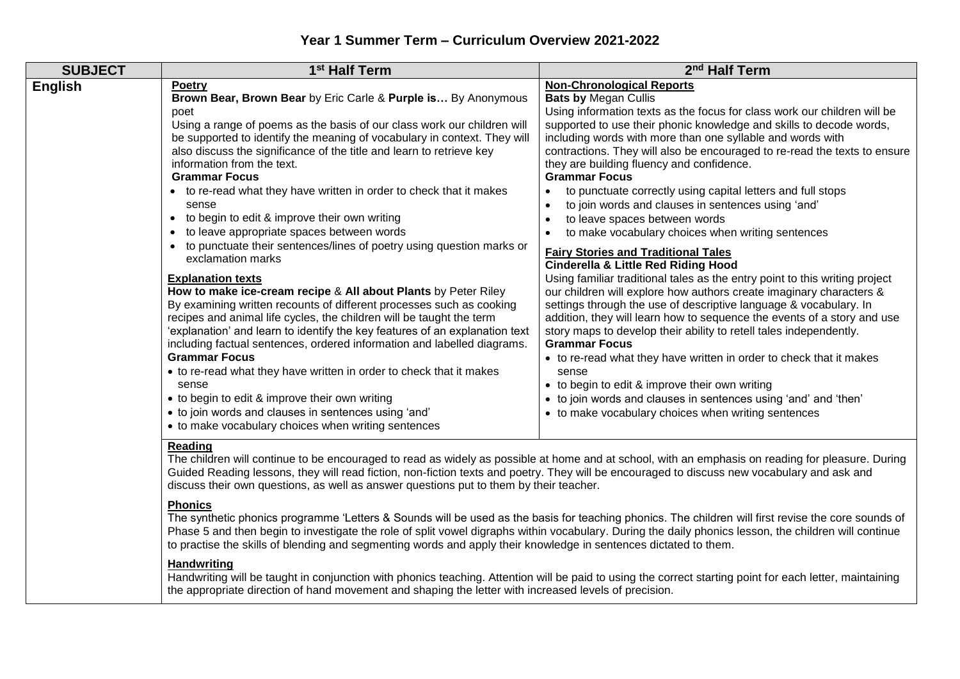| <b>SUBJECT</b> | 1 <sup>st</sup> Half Term                                                                                                                                                                                                                                                                                                                                                                                                                                                                                                                                                                                                                                                                                                                                                                                                                                                                                                                                                                                                                                                                                                                                                                                                                                                                                                                                          | 2 <sup>nd</sup> Half Term                                                                                                                                                                                                                                                                                                                                                                                                                                                                                                                                                                                                                                                                                                                                                                                                                                                                                                                                                                                                                                                                                                                                                                                                                                                                                                                                                                                     |
|----------------|--------------------------------------------------------------------------------------------------------------------------------------------------------------------------------------------------------------------------------------------------------------------------------------------------------------------------------------------------------------------------------------------------------------------------------------------------------------------------------------------------------------------------------------------------------------------------------------------------------------------------------------------------------------------------------------------------------------------------------------------------------------------------------------------------------------------------------------------------------------------------------------------------------------------------------------------------------------------------------------------------------------------------------------------------------------------------------------------------------------------------------------------------------------------------------------------------------------------------------------------------------------------------------------------------------------------------------------------------------------------|---------------------------------------------------------------------------------------------------------------------------------------------------------------------------------------------------------------------------------------------------------------------------------------------------------------------------------------------------------------------------------------------------------------------------------------------------------------------------------------------------------------------------------------------------------------------------------------------------------------------------------------------------------------------------------------------------------------------------------------------------------------------------------------------------------------------------------------------------------------------------------------------------------------------------------------------------------------------------------------------------------------------------------------------------------------------------------------------------------------------------------------------------------------------------------------------------------------------------------------------------------------------------------------------------------------------------------------------------------------------------------------------------------------|
| <b>English</b> | <b>Poetry</b><br>Brown Bear, Brown Bear by Eric Carle & Purple is By Anonymous<br>poet<br>Using a range of poems as the basis of our class work our children will<br>be supported to identify the meaning of vocabulary in context. They will<br>also discuss the significance of the title and learn to retrieve key<br>information from the text.<br><b>Grammar Focus</b><br>• to re-read what they have written in order to check that it makes<br>sense<br>• to begin to edit & improve their own writing<br>to leave appropriate spaces between words<br>$\bullet$<br>• to punctuate their sentences/lines of poetry using question marks or<br>exclamation marks<br><b>Explanation texts</b><br>How to make ice-cream recipe & All about Plants by Peter Riley<br>By examining written recounts of different processes such as cooking<br>recipes and animal life cycles, the children will be taught the term<br>'explanation' and learn to identify the key features of an explanation text<br>including factual sentences, ordered information and labelled diagrams.<br><b>Grammar Focus</b><br>• to re-read what they have written in order to check that it makes<br>sense<br>• to begin to edit & improve their own writing<br>• to join words and clauses in sentences using 'and'<br>• to make vocabulary choices when writing sentences<br>Reading | <b>Non-Chronological Reports</b><br><b>Bats by Megan Cullis</b><br>Using information texts as the focus for class work our children will be<br>supported to use their phonic knowledge and skills to decode words,<br>including words with more than one syllable and words with<br>contractions. They will also be encouraged to re-read the texts to ensure<br>they are building fluency and confidence.<br><b>Grammar Focus</b><br>to punctuate correctly using capital letters and full stops<br>to join words and clauses in sentences using 'and'<br>to leave spaces between words<br>to make vocabulary choices when writing sentences<br><b>Fairy Stories and Traditional Tales</b><br><b>Cinderella &amp; Little Red Riding Hood</b><br>Using familiar traditional tales as the entry point to this writing project<br>our children will explore how authors create imaginary characters &<br>settings through the use of descriptive language & vocabulary. In<br>addition, they will learn how to sequence the events of a story and use<br>story maps to develop their ability to retell tales independently.<br><b>Grammar Focus</b><br>• to re-read what they have written in order to check that it makes<br>sense<br>• to begin to edit & improve their own writing<br>• to join words and clauses in sentences using 'and' and 'then'<br>• to make vocabulary choices when writing sentences |
|                |                                                                                                                                                                                                                                                                                                                                                                                                                                                                                                                                                                                                                                                                                                                                                                                                                                                                                                                                                                                                                                                                                                                                                                                                                                                                                                                                                                    |                                                                                                                                                                                                                                                                                                                                                                                                                                                                                                                                                                                                                                                                                                                                                                                                                                                                                                                                                                                                                                                                                                                                                                                                                                                                                                                                                                                                               |

The children will continue to be encouraged to read as widely as possible at home and at school, with an emphasis on reading for pleasure. During Guided Reading lessons, they will read fiction, non-fiction texts and poetry. They will be encouraged to discuss new vocabulary and ask and discuss their own questions, as well as answer questions put to them by their teacher.

## **Phonics**

The synthetic phonics programme 'Letters & Sounds will be used as the basis for teaching phonics. The children will first revise the core sounds of Phase 5 and then begin to investigate the role of split vowel digraphs within vocabulary. During the daily phonics lesson, the children will continue to practise the skills of blending and segmenting words and apply their knowledge in sentences dictated to them.

## **Handwriting**

Handwriting will be taught in conjunction with phonics teaching. Attention will be paid to using the correct starting point for each letter, maintaining the appropriate direction of hand movement and shaping the letter with increased levels of precision.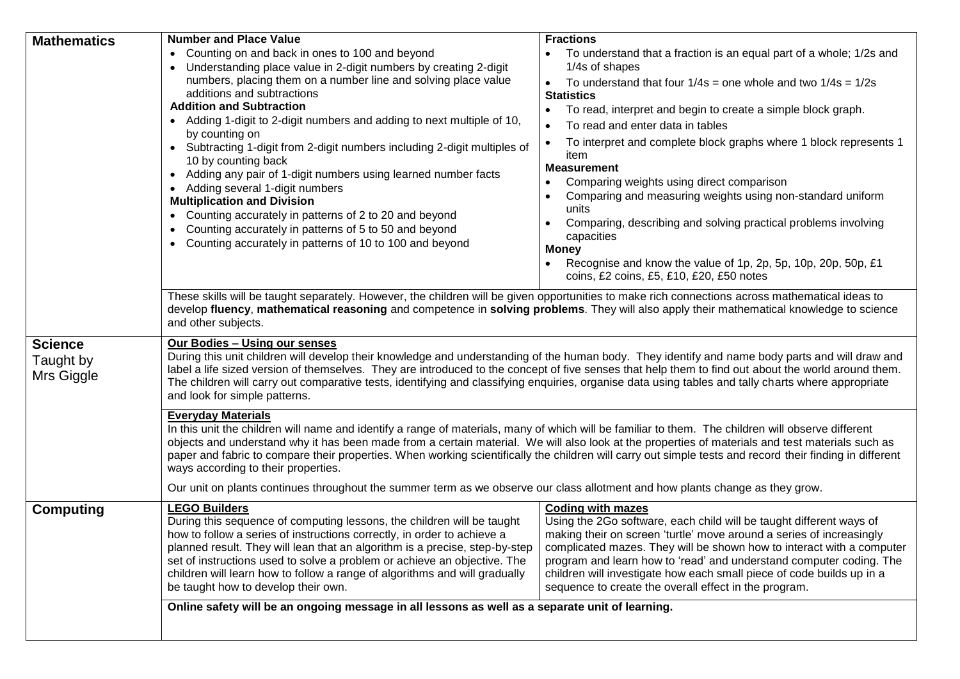| <b>Mathematics</b>                        | <b>Number and Place Value</b>                                                                                                                                                                                                                                                                                                                                                                                                                                                                                                          | <b>Fractions</b>                                                                                                                            |  |
|-------------------------------------------|----------------------------------------------------------------------------------------------------------------------------------------------------------------------------------------------------------------------------------------------------------------------------------------------------------------------------------------------------------------------------------------------------------------------------------------------------------------------------------------------------------------------------------------|---------------------------------------------------------------------------------------------------------------------------------------------|--|
|                                           | • Counting on and back in ones to 100 and beyond                                                                                                                                                                                                                                                                                                                                                                                                                                                                                       | To understand that a fraction is an equal part of a whole; 1/2s and                                                                         |  |
|                                           | Understanding place value in 2-digit numbers by creating 2-digit                                                                                                                                                                                                                                                                                                                                                                                                                                                                       | 1/4s of shapes                                                                                                                              |  |
|                                           | numbers, placing them on a number line and solving place value                                                                                                                                                                                                                                                                                                                                                                                                                                                                         | To understand that four $1/4s$ = one whole and two $1/4s = 1/2s$<br>$\bullet$                                                               |  |
|                                           | additions and subtractions<br><b>Addition and Subtraction</b>                                                                                                                                                                                                                                                                                                                                                                                                                                                                          | <b>Statistics</b>                                                                                                                           |  |
|                                           | • Adding 1-digit to 2-digit numbers and adding to next multiple of 10,                                                                                                                                                                                                                                                                                                                                                                                                                                                                 | To read, interpret and begin to create a simple block graph.<br>$\bullet$                                                                   |  |
|                                           | by counting on                                                                                                                                                                                                                                                                                                                                                                                                                                                                                                                         | To read and enter data in tables                                                                                                            |  |
|                                           | • Subtracting 1-digit from 2-digit numbers including 2-digit multiples of                                                                                                                                                                                                                                                                                                                                                                                                                                                              | To interpret and complete block graphs where 1 block represents 1                                                                           |  |
|                                           | 10 by counting back                                                                                                                                                                                                                                                                                                                                                                                                                                                                                                                    | item                                                                                                                                        |  |
|                                           | • Adding any pair of 1-digit numbers using learned number facts                                                                                                                                                                                                                                                                                                                                                                                                                                                                        | <b>Measurement</b>                                                                                                                          |  |
|                                           | • Adding several 1-digit numbers                                                                                                                                                                                                                                                                                                                                                                                                                                                                                                       | Comparing weights using direct comparison<br>Comparing and measuring weights using non-standard uniform                                     |  |
|                                           | <b>Multiplication and Division</b>                                                                                                                                                                                                                                                                                                                                                                                                                                                                                                     | units                                                                                                                                       |  |
|                                           | Counting accurately in patterns of 2 to 20 and beyond                                                                                                                                                                                                                                                                                                                                                                                                                                                                                  | Comparing, describing and solving practical problems involving                                                                              |  |
|                                           | Counting accurately in patterns of 5 to 50 and beyond                                                                                                                                                                                                                                                                                                                                                                                                                                                                                  | capacities                                                                                                                                  |  |
|                                           | Counting accurately in patterns of 10 to 100 and beyond                                                                                                                                                                                                                                                                                                                                                                                                                                                                                | <b>Money</b>                                                                                                                                |  |
|                                           |                                                                                                                                                                                                                                                                                                                                                                                                                                                                                                                                        | Recognise and know the value of 1p, 2p, 5p, 10p, 20p, 50p, £1                                                                               |  |
|                                           |                                                                                                                                                                                                                                                                                                                                                                                                                                                                                                                                        | coins, £2 coins, £5, £10, £20, £50 notes                                                                                                    |  |
|                                           | These skills will be taught separately. However, the children will be given opportunities to make rich connections across mathematical ideas to<br>develop fluency, mathematical reasoning and competence in solving problems. They will also apply their mathematical knowledge to science<br>and other subjects.                                                                                                                                                                                                                     |                                                                                                                                             |  |
| <b>Science</b><br>Taught by<br>Mrs Giggle | Our Bodies - Using our senses<br>During this unit children will develop their knowledge and understanding of the human body. They identify and name body parts and will draw and<br>label a life sized version of themselves. They are introduced to the concept of five senses that help them to find out about the world around them.<br>The children will carry out comparative tests, identifying and classifying enquiries, organise data using tables and tally charts where appropriate<br>and look for simple patterns.        |                                                                                                                                             |  |
|                                           | <b>Everyday Materials</b><br>In this unit the children will name and identify a range of materials, many of which will be familiar to them. The children will observe different<br>objects and understand why it has been made from a certain material. We will also look at the properties of materials and test materials such as<br>paper and fabric to compare their properties. When working scientifically the children will carry out simple tests and record their finding in different<br>ways according to their properties. |                                                                                                                                             |  |
|                                           | Our unit on plants continues throughout the summer term as we observe our class allotment and how plants change as they grow.                                                                                                                                                                                                                                                                                                                                                                                                          |                                                                                                                                             |  |
| <b>Computing</b>                          | <b>LEGO Builders</b>                                                                                                                                                                                                                                                                                                                                                                                                                                                                                                                   | <b>Coding with mazes</b>                                                                                                                    |  |
|                                           | During this sequence of computing lessons, the children will be taught<br>how to follow a series of instructions correctly, in order to achieve a                                                                                                                                                                                                                                                                                                                                                                                      | Using the 2Go software, each child will be taught different ways of<br>making their on screen 'turtle' move around a series of increasingly |  |
|                                           | planned result. They will lean that an algorithm is a precise, step-by-step                                                                                                                                                                                                                                                                                                                                                                                                                                                            | complicated mazes. They will be shown how to interact with a computer                                                                       |  |
|                                           | set of instructions used to solve a problem or achieve an objective. The                                                                                                                                                                                                                                                                                                                                                                                                                                                               | program and learn how to 'read' and understand computer coding. The                                                                         |  |
|                                           | children will learn how to follow a range of algorithms and will gradually                                                                                                                                                                                                                                                                                                                                                                                                                                                             | children will investigate how each small piece of code builds up in a                                                                       |  |
|                                           | be taught how to develop their own.                                                                                                                                                                                                                                                                                                                                                                                                                                                                                                    | sequence to create the overall effect in the program.                                                                                       |  |
|                                           | Online safety will be an ongoing message in all lessons as well as a separate unit of learning.                                                                                                                                                                                                                                                                                                                                                                                                                                        |                                                                                                                                             |  |
|                                           |                                                                                                                                                                                                                                                                                                                                                                                                                                                                                                                                        |                                                                                                                                             |  |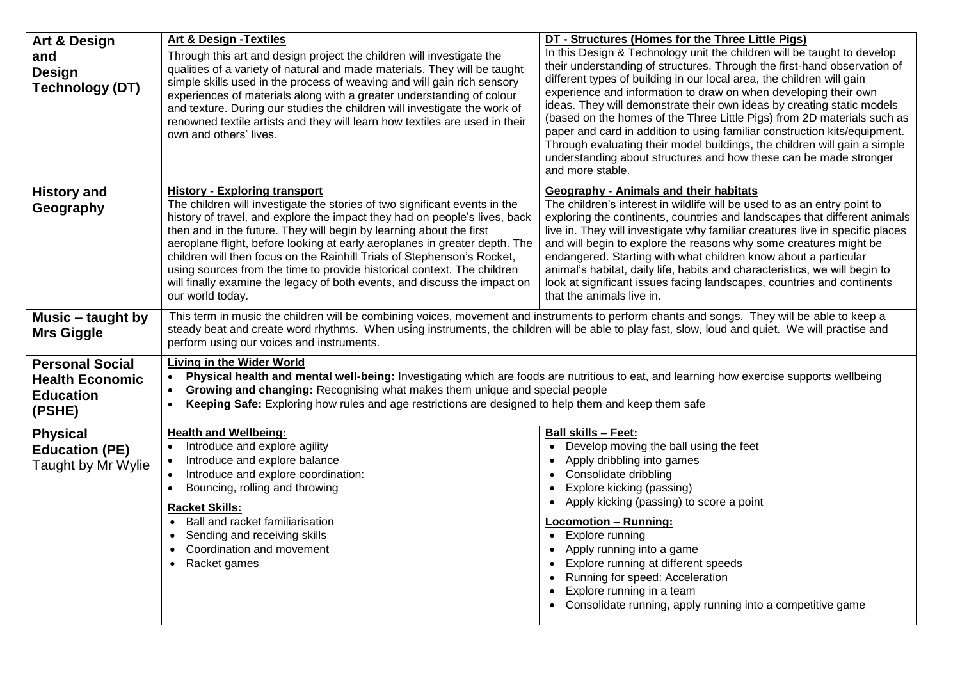| Art & Design<br>and<br><b>Design</b><br><b>Technology (DT)</b>                 | <b>Art &amp; Design - Textiles</b><br>Through this art and design project the children will investigate the<br>qualities of a variety of natural and made materials. They will be taught<br>simple skills used in the process of weaving and will gain rich sensory<br>experiences of materials along with a greater understanding of colour<br>and texture. During our studies the children will investigate the work of<br>renowned textile artists and they will learn how textiles are used in their<br>own and others' lives.                                                                           | DT - Structures (Homes for the Three Little Pigs)<br>In this Design & Technology unit the children will be taught to develop<br>their understanding of structures. Through the first-hand observation of<br>different types of building in our local area, the children will gain<br>experience and information to draw on when developing their own<br>ideas. They will demonstrate their own ideas by creating static models<br>(based on the homes of the Three Little Pigs) from 2D materials such as<br>paper and card in addition to using familiar construction kits/equipment.                               |
|--------------------------------------------------------------------------------|--------------------------------------------------------------------------------------------------------------------------------------------------------------------------------------------------------------------------------------------------------------------------------------------------------------------------------------------------------------------------------------------------------------------------------------------------------------------------------------------------------------------------------------------------------------------------------------------------------------|----------------------------------------------------------------------------------------------------------------------------------------------------------------------------------------------------------------------------------------------------------------------------------------------------------------------------------------------------------------------------------------------------------------------------------------------------------------------------------------------------------------------------------------------------------------------------------------------------------------------|
|                                                                                |                                                                                                                                                                                                                                                                                                                                                                                                                                                                                                                                                                                                              | Through evaluating their model buildings, the children will gain a simple<br>understanding about structures and how these can be made stronger<br>and more stable.                                                                                                                                                                                                                                                                                                                                                                                                                                                   |
| <b>History and</b><br>Geography                                                | <b>History - Exploring transport</b><br>The children will investigate the stories of two significant events in the<br>history of travel, and explore the impact they had on people's lives, back<br>then and in the future. They will begin by learning about the first<br>aeroplane flight, before looking at early aeroplanes in greater depth. The<br>children will then focus on the Rainhill Trials of Stephenson's Rocket,<br>using sources from the time to provide historical context. The children<br>will finally examine the legacy of both events, and discuss the impact on<br>our world today. | <b>Geography - Animals and their habitats</b><br>The children's interest in wildlife will be used to as an entry point to<br>exploring the continents, countries and landscapes that different animals<br>live in. They will investigate why familiar creatures live in specific places<br>and will begin to explore the reasons why some creatures might be<br>endangered. Starting with what children know about a particular<br>animal's habitat, daily life, habits and characteristics, we will begin to<br>look at significant issues facing landscapes, countries and continents<br>that the animals live in. |
| Music – taught by<br><b>Mrs Giggle</b>                                         | This term in music the children will be combining voices, movement and instruments to perform chants and songs. They will be able to keep a<br>steady beat and create word rhythms. When using instruments, the children will be able to play fast, slow, loud and quiet. We will practise and<br>perform using our voices and instruments.                                                                                                                                                                                                                                                                  |                                                                                                                                                                                                                                                                                                                                                                                                                                                                                                                                                                                                                      |
| <b>Personal Social</b><br><b>Health Economic</b><br><b>Education</b><br>(PSHE) | <b>Living in the Wider World</b><br>Physical health and mental well-being: Investigating which are foods are nutritious to eat, and learning how exercise supports wellbeing<br>Growing and changing: Recognising what makes them unique and special people<br>Keeping Safe: Exploring how rules and age restrictions are designed to help them and keep them safe<br>$\bullet$                                                                                                                                                                                                                              |                                                                                                                                                                                                                                                                                                                                                                                                                                                                                                                                                                                                                      |
| <b>Physical</b><br><b>Education (PE)</b><br>Taught by Mr Wylie                 | <b>Health and Wellbeing:</b><br>Introduce and explore agility<br>Introduce and explore balance<br>Introduce and explore coordination:<br>Bouncing, rolling and throwing<br><b>Racket Skills:</b><br>Ball and racket familiarisation<br>Sending and receiving skills<br>Coordination and movement<br>Racket games<br>$\bullet$                                                                                                                                                                                                                                                                                | <b>Ball skills - Feet:</b><br>• Develop moving the ball using the feet<br>• Apply dribbling into games<br>• Consolidate dribbling<br>Explore kicking (passing)<br>• Apply kicking (passing) to score a point<br><b>Locomotion - Running:</b><br>• Explore running<br>• Apply running into a game<br>• Explore running at different speeds<br>• Running for speed: Acceleration<br>Explore running in a team<br>• Consolidate running, apply running into a competitive game                                                                                                                                          |